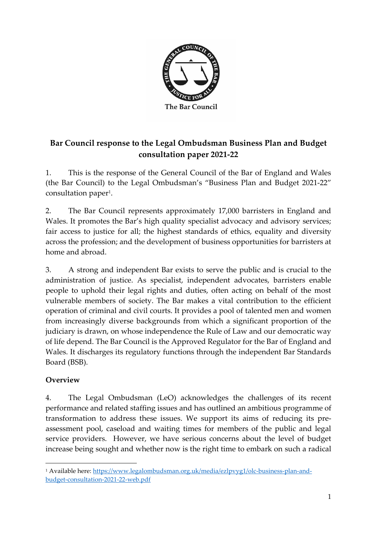

# **Bar Council response to the Legal Ombudsman Business Plan and Budget consultation paper 2021-22**

1. This is the response of the General Council of the Bar of England and Wales (the Bar Council) to the Legal Ombudsman's "Business Plan and Budget 2021-22" consultation paper<sup>1</sup>.

2. The Bar Council represents approximately 17,000 barristers in England and Wales. It promotes the Bar's high quality specialist advocacy and advisory services; fair access to justice for all; the highest standards of ethics, equality and diversity across the profession; and the development of business opportunities for barristers at home and abroad.

3. A strong and independent Bar exists to serve the public and is crucial to the administration of justice. As specialist, independent advocates, barristers enable people to uphold their legal rights and duties, often acting on behalf of the most vulnerable members of society. The Bar makes a vital contribution to the efficient operation of criminal and civil courts. It provides a pool of talented men and women from increasingly diverse backgrounds from which a significant proportion of the judiciary is drawn, on whose independence the Rule of Law and our democratic way of life depend. The Bar Council is the Approved Regulator for the Bar of England and Wales. It discharges its regulatory functions through the independent Bar Standards Board (BSB).

#### **Overview**

4. The Legal Ombudsman (LeO) acknowledges the challenges of its recent performance and related staffing issues and has outlined an ambitious programme of transformation to address these issues. We support its aims of reducing its preassessment pool, caseload and waiting times for members of the public and legal service providers. However, we have serious concerns about the level of budget increase being sought and whether now is the right time to embark on such a radical

<sup>&</sup>lt;sup>1</sup> Available here: [https://www.legalombudsman.org.uk/media/ezlpvyg1/olc-business-plan-and](https://www.legalombudsman.org.uk/media/ezlpvyg1/olc-business-plan-and-budget-consultation-2021-22-web.pdf)[budget-consultation-2021-22-web.pdf](https://www.legalombudsman.org.uk/media/ezlpvyg1/olc-business-plan-and-budget-consultation-2021-22-web.pdf)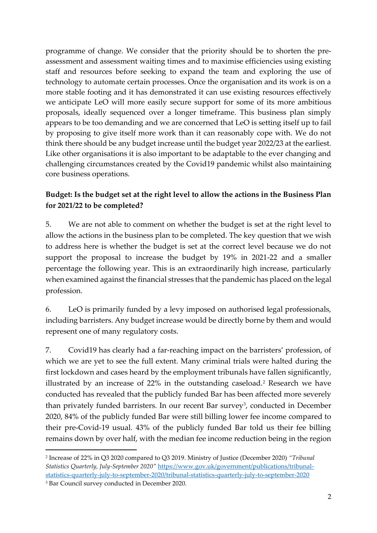programme of change. We consider that the priority should be to shorten the preassessment and assessment waiting times and to maximise efficiencies using existing staff and resources before seeking to expand the team and exploring the use of technology to automate certain processes. Once the organisation and its work is on a more stable footing and it has demonstrated it can use existing resources effectively we anticipate LeO will more easily secure support for some of its more ambitious proposals, ideally sequenced over a longer timeframe. This business plan simply appears to be too demanding and we are concerned that LeO is setting itself up to fail by proposing to give itself more work than it can reasonably cope with. We do not think there should be any budget increase until the budget year 2022/23 at the earliest. Like other organisations it is also important to be adaptable to the ever changing and challenging circumstances created by the Covid19 pandemic whilst also maintaining core business operations.

### **Budget: Is the budget set at the right level to allow the actions in the Business Plan for 2021/22 to be completed?**

5. We are not able to comment on whether the budget is set at the right level to allow the actions in the business plan to be completed. The key question that we wish to address here is whether the budget is set at the correct level because we do not support the proposal to increase the budget by 19% in 2021-22 and a smaller percentage the following year. This is an extraordinarily high increase, particularly when examined against the financial stresses that the pandemic has placed on the legal profession.

6. LeO is primarily funded by a levy imposed on authorised legal professionals, including barristers. Any budget increase would be directly borne by them and would represent one of many regulatory costs.

7. Covid19 has clearly had a far-reaching impact on the barristers' profession, of which we are yet to see the full extent. Many criminal trials were halted during the first lockdown and cases heard by the employment tribunals have fallen significantly, illustrated by an increase of 22% in the outstanding caseload.<sup>2</sup> Research we have conducted has revealed that the publicly funded Bar has been affected more severely than privately funded barristers. In our recent Bar survey<sup>3</sup>, conducted in December 2020, 84% of the publicly funded Bar were still billing lower fee income compared to their pre-Covid-19 usual. 43% of the publicly funded Bar told us their fee billing remains down by over half, with the median fee income reduction being in the region

<sup>2</sup> Increase of 22% in Q3 2020 compared to Q3 2019. Ministry of Justice (December 2020) *"Tribunal Statistics Quarterly, July-September 2020"* [https://www.gov.uk/government/publications/tribunal](https://www.gov.uk/government/publications/tribunal-statistics-quarterly-july-to-september-2020/tribunal-statistics-quarterly-july-to-september-2020)[statistics-quarterly-july-to-september-2020/tribunal-statistics-quarterly-july-to-september-2020](https://www.gov.uk/government/publications/tribunal-statistics-quarterly-july-to-september-2020/tribunal-statistics-quarterly-july-to-september-2020)

<sup>3</sup> Bar Council survey conducted in December 2020.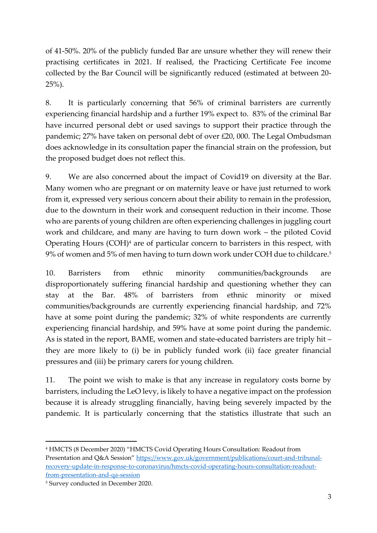of 41-50%. 20% of the publicly funded Bar are unsure whether they will renew their practising certificates in 2021. If realised, the Practicing Certificate Fee income collected by the Bar Council will be significantly reduced (estimated at between 20- 25%).

8. It is particularly concerning that 56% of criminal barristers are currently experiencing financial hardship and a further 19% expect to. 83% of the criminal Bar have incurred personal debt or used savings to support their practice through the pandemic; 27% have taken on personal debt of over £20, 000. The Legal Ombudsman does acknowledge in its consultation paper the financial strain on the profession, but the proposed budget does not reflect this.

9. We are also concerned about the impact of Covid19 on diversity at the Bar. Many women who are pregnant or on maternity leave or have just returned to work from it, expressed very serious concern about their ability to remain in the profession, due to the downturn in their work and consequent reduction in their income. Those who are parents of young children are often experiencing challenges in juggling court work and childcare, and many are having to turn down work – the piloted Covid Operating Hours (COH)<sup>4</sup> are of particular concern to barristers in this respect, with 9% of women and 5% of men having to turn down work under COH due to childcare.<sup>5</sup>

10. Barristers from ethnic minority communities/backgrounds are disproportionately suffering financial hardship and questioning whether they can stay at the Bar. 48% of barristers from ethnic minority or mixed communities/backgrounds are currently experiencing financial hardship, and 72% have at some point during the pandemic; 32% of white respondents are currently experiencing financial hardship, and 59% have at some point during the pandemic. As is stated in the report, BAME, women and state-educated barristers are triply hit – they are more likely to (i) be in publicly funded work (ii) face greater financial pressures and (iii) be primary carers for young children.

11. The point we wish to make is that any increase in regulatory costs borne by barristers, including the LeO levy, is likely to have a negative impact on the profession because it is already struggling financially, having being severely impacted by the pandemic. It is particularly concerning that the statistics illustrate that such an

<sup>4</sup> HMCTS (8 December 2020) "HMCTS Covid Operating Hours Consultation: Readout from Presentation and Q&A Session" [https://www.gov.uk/government/publications/court-and-tribunal](https://www.gov.uk/government/publications/court-and-tribunal-recovery-update-in-response-to-coronavirus/hmcts-covid-operating-hours-consultation-readout-from-presentation-and-qa-session)[recovery-update-in-response-to-coronavirus/hmcts-covid-operating-hours-consultation-readout](https://www.gov.uk/government/publications/court-and-tribunal-recovery-update-in-response-to-coronavirus/hmcts-covid-operating-hours-consultation-readout-from-presentation-and-qa-session)[from-presentation-and-qa-session](https://www.gov.uk/government/publications/court-and-tribunal-recovery-update-in-response-to-coronavirus/hmcts-covid-operating-hours-consultation-readout-from-presentation-and-qa-session)

<sup>5</sup> Survey conducted in December 2020.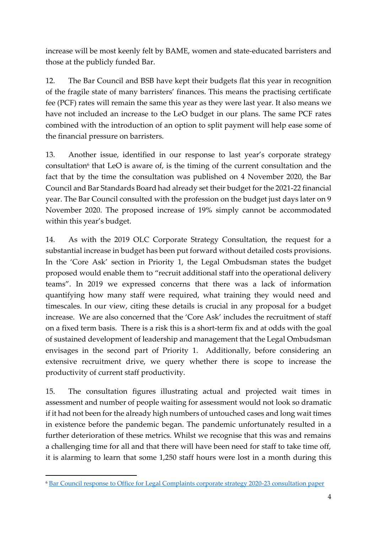increase will be most keenly felt by BAME, women and state-educated barristers and those at the publicly funded Bar.

12. The Bar Council and BSB have kept their budgets flat this year in recognition of the fragile state of many barristers' finances. This means the practising certificate fee (PCF) rates will remain the same this year as they were last year. It also means we have not included an increase to the LeO budget in our plans. The same PCF rates combined with the introduction of an option to split payment will help ease some of the financial pressure on barristers.

13. Another issue, identified in our response to last year's corporate strategy consultation<sup>6</sup> that LeO is aware of, is the timing of the current consultation and the fact that by the time the consultation was published on 4 November 2020, the Bar Council and Bar Standards Board had already set their budget for the 2021-22 financial year. The Bar Council consulted with the profession on the budget just days later on 9 November 2020. The proposed increase of 19% simply cannot be accommodated within this year's budget.

14. As with the 2019 OLC Corporate Strategy Consultation, the request for a substantial increase in budget has been put forward without detailed costs provisions. In the 'Core Ask' section in Priority 1, the Legal Ombudsman states the budget proposed would enable them to "recruit additional staff into the operational delivery teams". In 2019 we expressed concerns that there was a lack of information quantifying how many staff were required, what training they would need and timescales. In our view, citing these details is crucial in any proposal for a budget increase. We are also concerned that the 'Core Ask' includes the recruitment of staff on a fixed term basis. There is a risk this is a short-term fix and at odds with the goal of sustained development of leadership and management that the Legal Ombudsman envisages in the second part of Priority 1. Additionally, before considering an extensive recruitment drive, we query whether there is scope to increase the productivity of current staff productivity.

15. The consultation figures illustrating actual and projected wait times in assessment and number of people waiting for assessment would not look so dramatic if it had not been for the already high numbers of untouched cases and long wait times in existence before the pandemic began. The pandemic unfortunately resulted in a further deterioration of these metrics. Whilst we recognise that this was and remains a challenging time for all and that there will have been need for staff to take time off, it is alarming to learn that some 1,250 staff hours were lost in a month during this

<sup>6</sup> [Bar Council response to Office for Legal Complaints corporate strategy 2020-23 consultation paper](https://www.barcouncil.org.uk/uploads/assets/ba347a50-4f69-481e-96accf5bca48880e/Bar-Council-response-to-the-OLC-Corporate-Strategy-2020-23-consultation.pdf)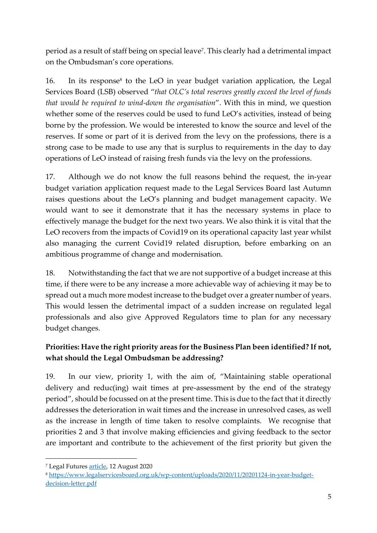period as a result of staff being on special leave<sup>7</sup> . This clearly had a detrimental impact on the Ombudsman's core operations.

16. In its response<sup>8</sup> to the LeO in year budget variation application, the Legal Services Board (LSB) observed "*that OLC's total reserves greatly exceed the level of funds that would be required to wind-down the organisation*". With this in mind, we question whether some of the reserves could be used to fund LeO's activities, instead of being borne by the profession. We would be interested to know the source and level of the reserves. If some or part of it is derived from the levy on the professions, there is a strong case to be made to use any that is surplus to requirements in the day to day operations of LeO instead of raising fresh funds via the levy on the professions.

17. Although we do not know the full reasons behind the request, the in-year budget variation application request made to the Legal Services Board last Autumn raises questions about the LeO's planning and budget management capacity. We would want to see it demonstrate that it has the necessary systems in place to effectively manage the budget for the next two years. We also think it is vital that the LeO recovers from the impacts of Covid19 on its operational capacity last year whilst also managing the current Covid19 related disruption, before embarking on an ambitious programme of change and modernisation.

18. Notwithstanding the fact that we are not supportive of a budget increase at this time, if there were to be any increase a more achievable way of achieving it may be to spread out a much more modest increase to the budget over a greater number of years. This would lessen the detrimental impact of a sudden increase on regulated legal professionals and also give Approved Regulators time to plan for any necessary budget changes.

# **Priorities: Have the right priority areas for the Business Plan been identified? If not, what should the Legal Ombudsman be addressing?**

19. In our view, priority 1, with the aim of, "Maintaining stable operational delivery and reduc(ing) wait times at pre-assessment by the end of the strategy period", should be focussed on at the present time. This is due to the fact that it directly addresses the deterioration in wait times and the increase in unresolved cases, as well as the increase in length of time taken to resolve complaints. We recognise that priorities 2 and 3 that involve making efficiencies and giving feedback to the sector are important and contribute to the achievement of the first priority but given the

<sup>7</sup> Legal Future[s article,](https://www.legalfutures.co.uk/latest-news/leo-simplest-complaints-could-take-over-a-year-to-conclude) 12 August 2020

<sup>8</sup> [https://www.legalservicesboard.org.uk/wp-content/uploads/2020/11/20201124-in-year-budget](https://www.legalservicesboard.org.uk/wp-content/uploads/2020/11/20201124-in-year-budget-decision-letter.pdf)[decision-letter.pdf](https://www.legalservicesboard.org.uk/wp-content/uploads/2020/11/20201124-in-year-budget-decision-letter.pdf)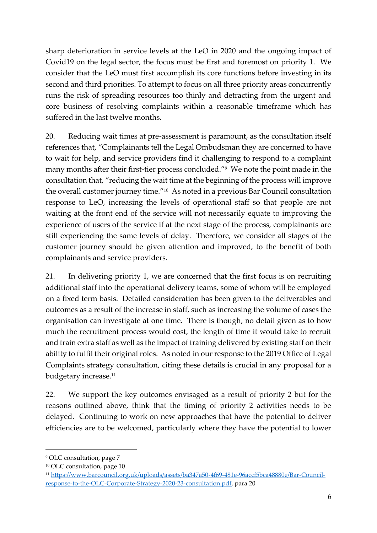sharp deterioration in service levels at the LeO in 2020 and the ongoing impact of Covid19 on the legal sector, the focus must be first and foremost on priority 1. We consider that the LeO must first accomplish its core functions before investing in its second and third priorities. To attempt to focus on all three priority areas concurrently runs the risk of spreading resources too thinly and detracting from the urgent and core business of resolving complaints within a reasonable timeframe which has suffered in the last twelve months.

20. Reducing wait times at pre-assessment is paramount, as the consultation itself references that, "Complainants tell the Legal Ombudsman they are concerned to have to wait for help, and service providers find it challenging to respond to a complaint many months after their first-tier process concluded."<sup>9</sup> We note the point made in the consultation that, "reducing the wait time at the beginning of the process will improve the overall customer journey time."<sup>10</sup> As noted in a previous Bar Council consultation response to LeO, increasing the levels of operational staff so that people are not waiting at the front end of the service will not necessarily equate to improving the experience of users of the service if at the next stage of the process, complainants are still experiencing the same levels of delay. Therefore, we consider all stages of the customer journey should be given attention and improved, to the benefit of both complainants and service providers.

21. In delivering priority 1, we are concerned that the first focus is on recruiting additional staff into the operational delivery teams, some of whom will be employed on a fixed term basis. Detailed consideration has been given to the deliverables and outcomes as a result of the increase in staff, such as increasing the volume of cases the organisation can investigate at one time. There is though, no detail given as to how much the recruitment process would cost, the length of time it would take to recruit and train extra staff as well as the impact of training delivered by existing staff on their ability to fulfil their original roles. As noted in our response to the 2019 Office of Legal Complaints strategy consultation, citing these details is crucial in any proposal for a budgetary increase.<sup>11</sup>

22. We support the key outcomes envisaged as a result of priority 2 but for the reasons outlined above, think that the timing of priority 2 activities needs to be delayed. Continuing to work on new approaches that have the potential to deliver efficiencies are to be welcomed, particularly where they have the potential to lower

<sup>9</sup> OLC consultation, page 7

<sup>10</sup> OLC consultation, page 10

<sup>11</sup> [https://www.barcouncil.org.uk/uploads/assets/ba347a50-4f69-481e-96accf5bca48880e/Bar-Council](https://www.barcouncil.org.uk/uploads/assets/ba347a50-4f69-481e-96accf5bca48880e/Bar-Council-response-to-the-OLC-Corporate-Strategy-2020-23-consultation.pdf)[response-to-the-OLC-Corporate-Strategy-2020-23-consultation.pdf,](https://www.barcouncil.org.uk/uploads/assets/ba347a50-4f69-481e-96accf5bca48880e/Bar-Council-response-to-the-OLC-Corporate-Strategy-2020-23-consultation.pdf) para 20